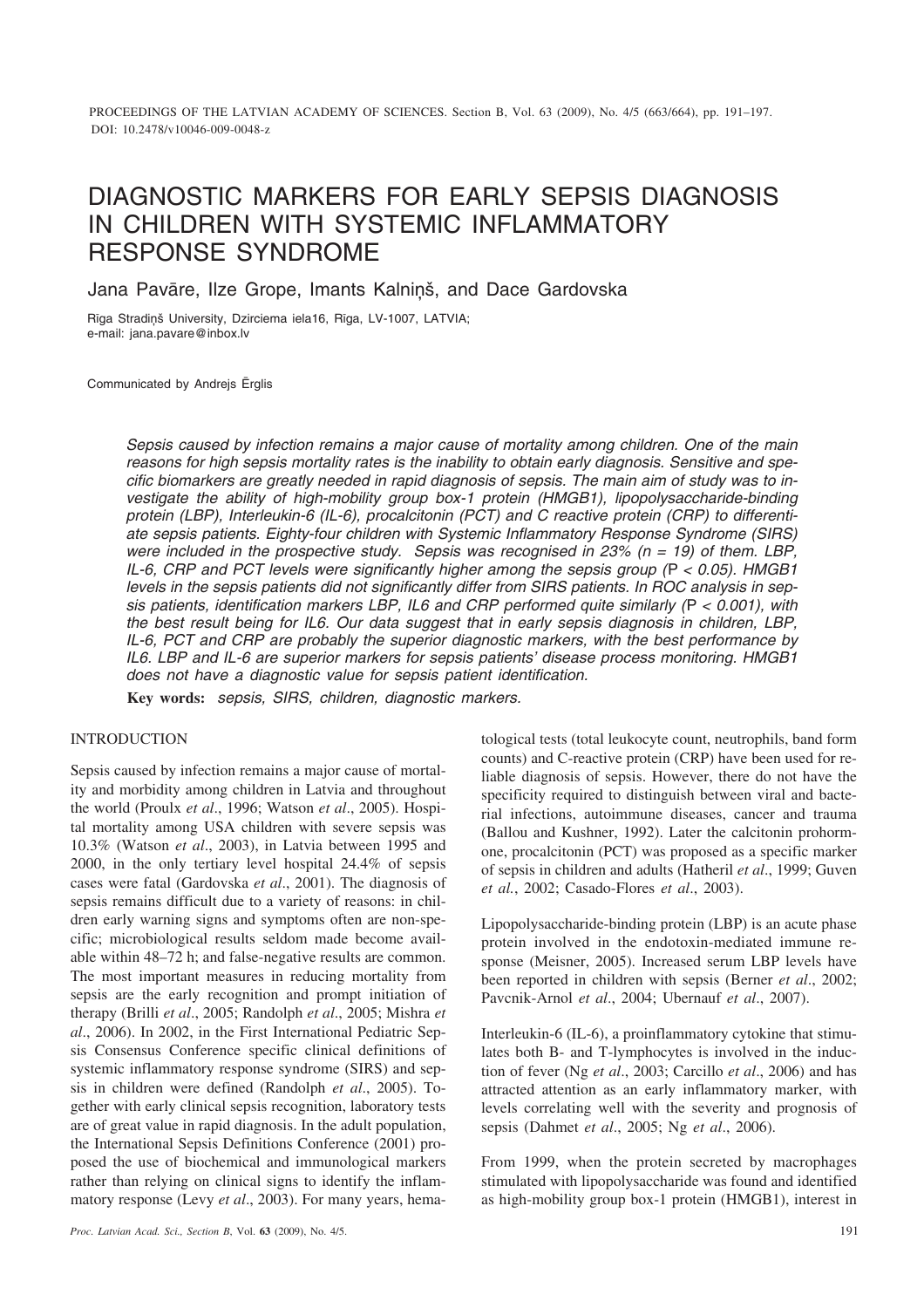# DIAGNOSTIC MARKERS FOR EARLY SEPSIS DIAGNOSIS IN CHILDREN WITH SYSTEMIC INFLAMMATORY RESPONSE SYNDROME

Jana Pavāre, Ilze Grope, Imants Kalniņš, and Dace Gardovska

Rīga Stradiņš University, Dzirciema iela16, Rīga, LV-1007, LATVIA; e-mail: jana.pavare@inbox.lv

Communicated by Andrejs Ērglis

*Sepsis caused by infection remains a major cause of mortality among children. One of the main reasons for high sepsis mortality rates is the inability to obtain early diagnosis. Sensitive and specific biomarkers are greatly needed in rapid diagnosis of sepsis. The main aim of study was to investigate the ability of high-mobility group box-1 protein (HMGB1), lipopolysaccharide-binding protein (LBP), Interleukin-6 (IL-6), procalcitonin (PCT) and C reactive protein (CRP) to differentiate sepsis patients. Eighty-four children with Systemic Inflammatory Response Syndrome (SIRS) were included in the prospective study. Sepsis was recognised in 23% (n = 19) of them. LBP, IL-6, CRP and PCT levels were significantly higher among the sepsis group (*P *< 0.05). HMGB1 levels in the sepsis patients did not significantly differ from SIRS patients. In ROC analysis in sepsis patients, identification markers LBP, IL6 and CRP performed quite similarly (*P *< 0.001), with the best result being for IL6. Our data suggest that in early sepsis diagnosis in children, LBP, IL-6, PCT and CRP are probably the superior diagnostic markers, with the best performance by IL6. LBP and IL-6 are superior markers for sepsis patients' disease process monitoring. HMGB1 does not have a diagnostic value for sepsis patient identification.*

**Key words:** *sepsis, SIRS, children, diagnostic markers.*

# INTRODUCTION

Sepsis caused by infection remains a major cause of mortality and morbidity among children in Latvia and throughout the world (Proulx *et al*., 1996; Watson *et al*., 2005). Hospital mortality among USA children with severe sepsis was 10.3% (Watson *et al*., 2003), in Latvia between 1995 and 2000, in the only tertiary level hospital 24.4% of sepsis cases were fatal (Gardovska *et al*., 2001). The diagnosis of sepsis remains difficult due to a variety of reasons: in children early warning signs and symptoms often are non-specific; microbiological results seldom made become available within 48–72 h; and false-negative results are common. The most important measures in reducing mortality from sepsis are the early recognition and prompt initiation of therapy (Brilli *et al*., 2005; Randolph *et al*., 2005; Mishra *et al*., 2006). In 2002, in the First International Pediatric Sepsis Consensus Conference specific clinical definitions of systemic inflammatory response syndrome (SIRS) and sepsis in children were defined (Randolph *et al*., 2005). Together with early clinical sepsis recognition, laboratory tests are of great value in rapid diagnosis. In the adult population, the International Sepsis Definitions Conference (2001) proposed the use of biochemical and immunological markers rather than relying on clinical signs to identify the inflammatory response (Levy *et al*., 2003). For many years, hematological tests (total leukocyte count, neutrophils, band form counts) and C-reactive protein (CRP) have been used for reliable diagnosis of sepsis. However, there do not have the specificity required to distinguish between viral and bacterial infections, autoimmune diseases, cancer and trauma (Ballou and Kushner, 1992). Later the calcitonin prohormone, procalcitonin (PCT) was proposed as a specific marker of sepsis in children and adults (Hatheril *et al*., 1999; Guven *et al.*, 2002; Casado-Flores *et al*., 2003).

Lipopolysaccharide-binding protein (LBP) is an acute phase protein involved in the endotoxin-mediated immune response (Meisner, 2005). Increased serum LBP levels have been reported in children with sepsis (Berner *et al*., 2002; Pavcnik-Arnol *et al*., 2004; Ubernauf *et al*., 2007).

Interleukin-6 (IL-6), a proinflammatory cytokine that stimulates both B- and T-lymphocytes is involved in the induction of fever (Ng *et al*., 2003; Carcillo *et al*., 2006) and has attracted attention as an early inflammatory marker, with levels correlating well with the severity and prognosis of sepsis (Dahmet *et al*., 2005; Ng *et al*., 2006).

From 1999, when the protein secreted by macrophages stimulated with lipopolysaccharide was found and identified as high-mobility group box-1 protein (HMGB1), interest in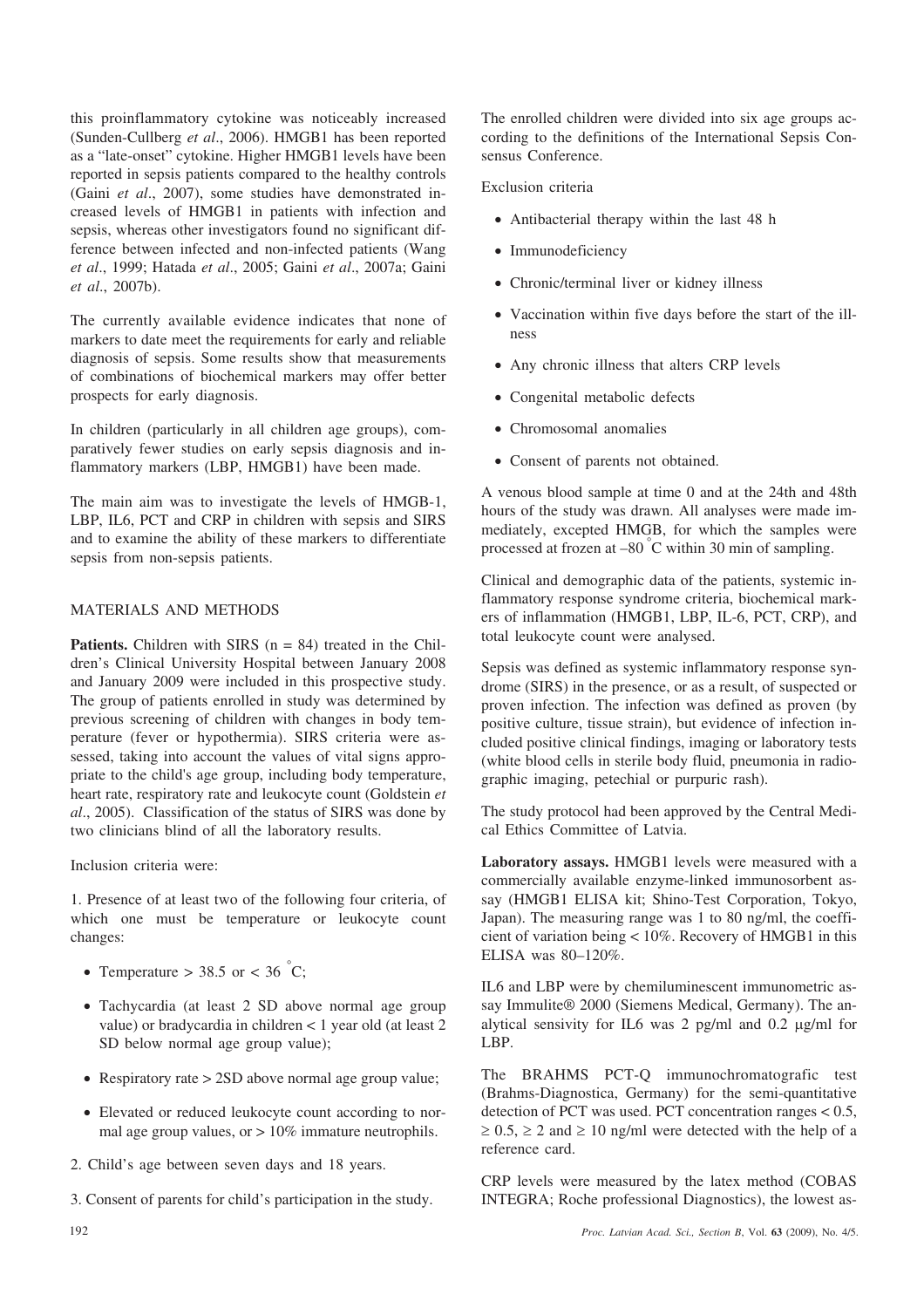this proinflammatory cytokine was noticeably increased (Sunden-Cullberg *et al*., 2006). HMGB1 has been reported as a "late-onset" cytokine. Higher HMGB1 levels have been reported in sepsis patients compared to the healthy controls (Gaini *et al*., 2007), some studies have demonstrated increased levels of HMGB1 in patients with infection and sepsis, whereas other investigators found no significant difference between infected and non-infected patients (Wang *et al*., 1999; Hatada *et al*., 2005; Gaini *et al*., 2007a; Gaini *et al*., 2007b).

The currently available evidence indicates that none of markers to date meet the requirements for early and reliable diagnosis of sepsis. Some results show that measurements of combinations of biochemical markers may offer better prospects for early diagnosis.

In children (particularly in all children age groups), comparatively fewer studies on early sepsis diagnosis and inflammatory markers (LBP, HMGB1) have been made.

The main aim was to investigate the levels of HMGB-1, LBP, IL6, PCT and CRP in children with sepsis and SIRS and to examine the ability of these markers to differentiate sepsis from non-sepsis patients.

# MATERIALS AND METHODS

**Patients.** Children with SIRS  $(n = 84)$  treated in the Children's Clinical University Hospital between January 2008 and January 2009 were included in this prospective study. The group of patients enrolled in study was determined by previous screening of children with changes in body temperature (fever or hypothermia). SIRS criteria were assessed, taking into account the values of vital signs appropriate to the child's age group, including body temperature, heart rate, respiratory rate and leukocyte count (Goldstein *et al*., 2005). Classification of the status of SIRS was done by two clinicians blind of all the laboratory results.

Inclusion criteria were:

1. Presence of at least two of the following four criteria, of which one must be temperature or leukocyte count changes:

- Temperature > 38.5 or < 36 °C;
- Tachycardia (at least 2 SD above normal age group value) or bradycardia in children < 1 year old (at least 2 SD below normal age group value);
- Respiratory rate > 2SD above normal age group value;
- Elevated or reduced leukocyte count according to normal age group values, or  $> 10\%$  immature neutrophils.
- 2. Child's age between seven days and 18 years.
- 3. Consent of parents for child's participation in the study.

The enrolled children were divided into six age groups according to the definitions of the International Sepsis Consensus Conference.

# Exclusion criteria

- Antibacterial therapy within the last 48 h
- Immunodeficiency
- Chronic/terminal liver or kidney illness
- Vaccination within five days before the start of the illness
- Any chronic illness that alters CRP levels
- Congenital metabolic defects
- Chromosomal anomalies
- Consent of parents not obtained.

A venous blood sample at time 0 and at the 24th and 48th hours of the study was drawn. All analyses were made immediately, excepted HMGB, for which the samples were processed at frozen at –80 ° C within 30 min of sampling.

Clinical and demographic data of the patients, systemic inflammatory response syndrome criteria, biochemical markers of inflammation (HMGB1, LBP, IL-6, PCT, CRP), and total leukocyte count were analysed.

Sepsis was defined as systemic inflammatory response syndrome (SIRS) in the presence, or as a result, of suspected or proven infection. The infection was defined as proven (by positive culture, tissue strain), but evidence of infection included positive clinical findings, imaging or laboratory tests (white blood cells in sterile body fluid, pneumonia in radiographic imaging, petechial or purpuric rash).

The study protocol had been approved by the Central Medical Ethics Committee of Latvia.

**Laboratory assays.** HMGB1 levels were measured with a commercially available enzyme-linked immunosorbent assay (HMGB1 ELISA kit; Shino-Test Corporation, Tokyo, Japan). The measuring range was 1 to 80 ng/ml, the coefficient of variation being < 10%. Recovery of HMGB1 in this ELISA was 80–120%.

IL6 and LBP were by chemiluminescent immunometric assay Immulite® 2000 (Siemens Medical, Germany). The analytical sensivity for IL6 was  $2$  pg/ml and 0.2  $\mu$ g/ml for LBP.

The BRAHMS PCT-Q immunochromatografic test (Brahms-Diagnostica, Germany) for the semi-quantitative detection of PCT was used. PCT concentration ranges  $< 0.5$ ,  $\geq 0.5$ ,  $\geq 2$  and  $\geq 10$  ng/ml were detected with the help of a reference card.

CRP levels were measured by the latex method (COBAS INTEGRA; Roche professional Diagnostics), the lowest as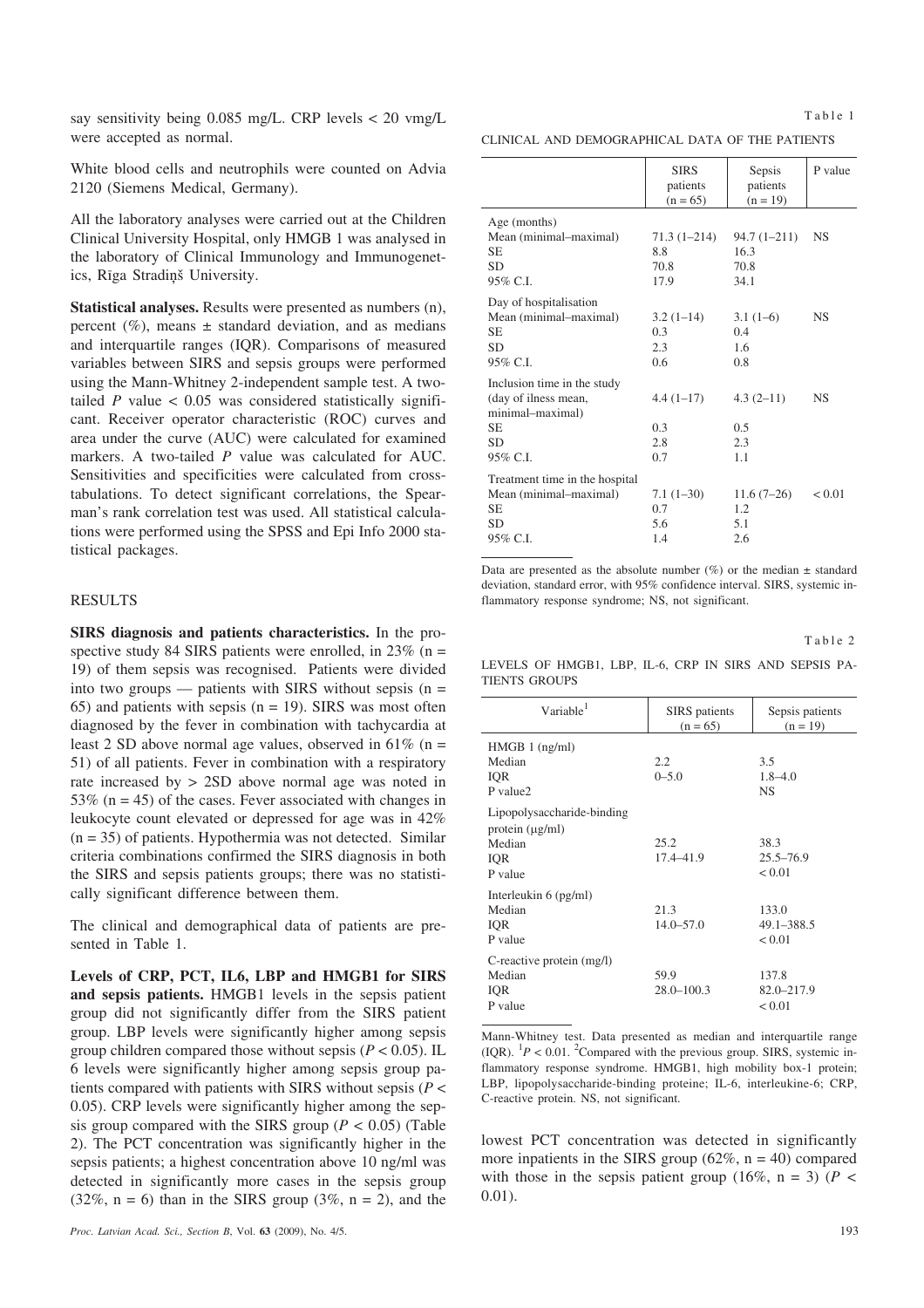say sensitivity being 0.085 mg/L. CRP levels < 20 vmg/L were accepted as normal.

White blood cells and neutrophils were counted on Advia 2120 (Siemens Medical, Germany).

All the laboratory analyses were carried out at the Children Clinical University Hospital, only HMGB 1 was analysed in the laboratory of Clinical Immunology and Immunogenetics, Rīga Stradiņš University.

**Statistical analyses.** Results were presented as numbers (n), percent  $(\%)$ , means  $\pm$  standard deviation, and as medians and interquartile ranges (IQR). Comparisons of measured variables between SIRS and sepsis groups were performed using the Mann-Whitney 2-independent sample test. A twotailed  $P$  value  $< 0.05$  was considered statistically significant. Receiver operator characteristic (ROC) curves and area under the curve (AUC) were calculated for examined markers. A two-tailed *P* value was calculated for AUC. Sensitivities and specificities were calculated from crosstabulations. To detect significant correlations, the Spearman's rank correlation test was used. All statistical calculations were performed using the SPSS and Epi Info 2000 statistical packages.

#### RESULTS

**SIRS diagnosis and patients characteristics.** In the prospective study 84 SIRS patients were enrolled, in  $23\%$  (n = 19) of them sepsis was recognised. Patients were divided into two groups — patients with SIRS without sepsis  $(n =$ 65) and patients with sepsis ( $n = 19$ ). SIRS was most often diagnosed by the fever in combination with tachycardia at least 2 SD above normal age values, observed in  $61\%$  (n = 51) of all patients. Fever in combination with a respiratory rate increased by > 2SD above normal age was noted in 53% ( $n = 45$ ) of the cases. Fever associated with changes in leukocyte count elevated or depressed for age was in 42%  $(n = 35)$  of patients. Hypothermia was not detected. Similar criteria combinations confirmed the SIRS diagnosis in both the SIRS and sepsis patients groups; there was no statistically significant difference between them.

The clinical and demographical data of patients are presented in Table 1.

**Levels of CRP, PCT, IL6, LBP and HMGB1 for SIRS and sepsis patients.** HMGB1 levels in the sepsis patient group did not significantly differ from the SIRS patient group. LBP levels were significantly higher among sepsis group children compared those without sepsis  $(P < 0.05)$ . IL 6 levels were significantly higher among sepsis group patients compared with patients with SIRS without sepsis (*P* < 0.05). CRP levels were significantly higher among the sepsis group compared with the SIRS group (*P <* 0.05) (Table 2). The PCT concentration was significantly higher in the sepsis patients; a highest concentration above 10 ng/ml was detected in significantly more cases in the sepsis group  $(32\%, n = 6)$  than in the SIRS group  $(3\%, n = 2)$ , and the

Table 1

CLINICAL AND DEMOGRAPHICAL DATA OF THE PATIENTS

|                                                                                                   | <b>SIRS</b><br>patients<br>$(n = 65)$  | Sepsis<br>patients<br>$(n = 19)$        | P value   |
|---------------------------------------------------------------------------------------------------|----------------------------------------|-----------------------------------------|-----------|
| Age (months)<br>Mean (minimal-maximal)<br>SE<br><b>SD</b><br>95% C.I.                             | $71.3(1 - 214)$<br>8.8<br>70.8<br>17.9 | $94.7(1 - 211)$<br>16.3<br>70.8<br>34.1 | <b>NS</b> |
| Day of hospitalisation<br>Mean (minimal-maximal)<br><b>SE</b><br><b>SD</b><br>95% C.I.            | $3.2(1-14)$<br>0.3<br>2.3<br>0.6       | $3.1(1-6)$<br>0.4<br>1.6<br>0.8         | <b>NS</b> |
| Inclusion time in the study<br>(day of ilness mean,<br>minimal-maximal)<br>SE.<br>SD.<br>95% C.I. | $4.4(1-17)$<br>0.3<br>2.8<br>0.7       | $4.3(2-11)$<br>0.5<br>2.3<br>1.1        | <b>NS</b> |
| Treatment time in the hospital<br>Mean (minimal-maximal)<br>SE.<br><b>SD</b><br>95% C.I.          | $7.1(1-30)$<br>0.7<br>5.6<br>1.4       | $11.6(7-26)$<br>1.2<br>5.1<br>2.6       | < 0.01    |

Data are presented as the absolute number  $(\%)$  or the median  $\pm$  standard deviation, standard error, with 95% confidence interval. SIRS, systemic inflammatory response syndrome; NS, not significant.

Table 2

LEVELS OF HMGB1, LBP, IL-6, CRP IN SIRS AND SEPSIS PA-TIENTS GROUPS

| Variable <sup>1</sup>                                                          | <b>SIRS</b> patients<br>$(n = 65)$ | Sepsis patients<br>$(n = 19)$     |
|--------------------------------------------------------------------------------|------------------------------------|-----------------------------------|
| $HMGB 1$ (ng/ml)<br>Median<br>IQR<br>P value2                                  | 2.2<br>$0 - 5.0$                   | 3.5<br>$1.8 - 4.0$<br><b>NS</b>   |
| Lipopolysaccharide-binding<br>protein $(\mu g/ml)$<br>Median<br>IQR<br>P value | 25.2<br>17.4–41.9                  | 38.3<br>$25.5 - 76.9$<br>< 0.01   |
| Interleukin $6$ (pg/ml)<br>Median<br>IQR<br>P value                            | 21.3<br>$14.0 - 57.0$              | 133.0<br>49.1-388.5<br>< 0.01     |
| C-reactive protein (mg/l)<br>Median<br>IQR<br>P value                          | 59.9<br>$28.0 - 100.3$             | 137.8<br>$82.0 - 217.9$<br>< 0.01 |

Mann-Whitney test. Data presented as median and interquartile range  $(IQR)$ . <sup>1</sup> $P < 0.01$ . <sup>2</sup>Compared with the previous group. SIRS, systemic inflammatory response syndrome. HMGB1, high mobility box-1 protein; LBP, lipopolysaccharide-binding proteine; IL-6, interleukine-6; CRP, C-reactive protein. NS, not significant.

lowest PCT concentration was detected in significantly more inpatients in the SIRS group  $(62\%, n = 40)$  compared with those in the sepsis patient group  $(16\%, n = 3)$  ( $P <$ 0.01).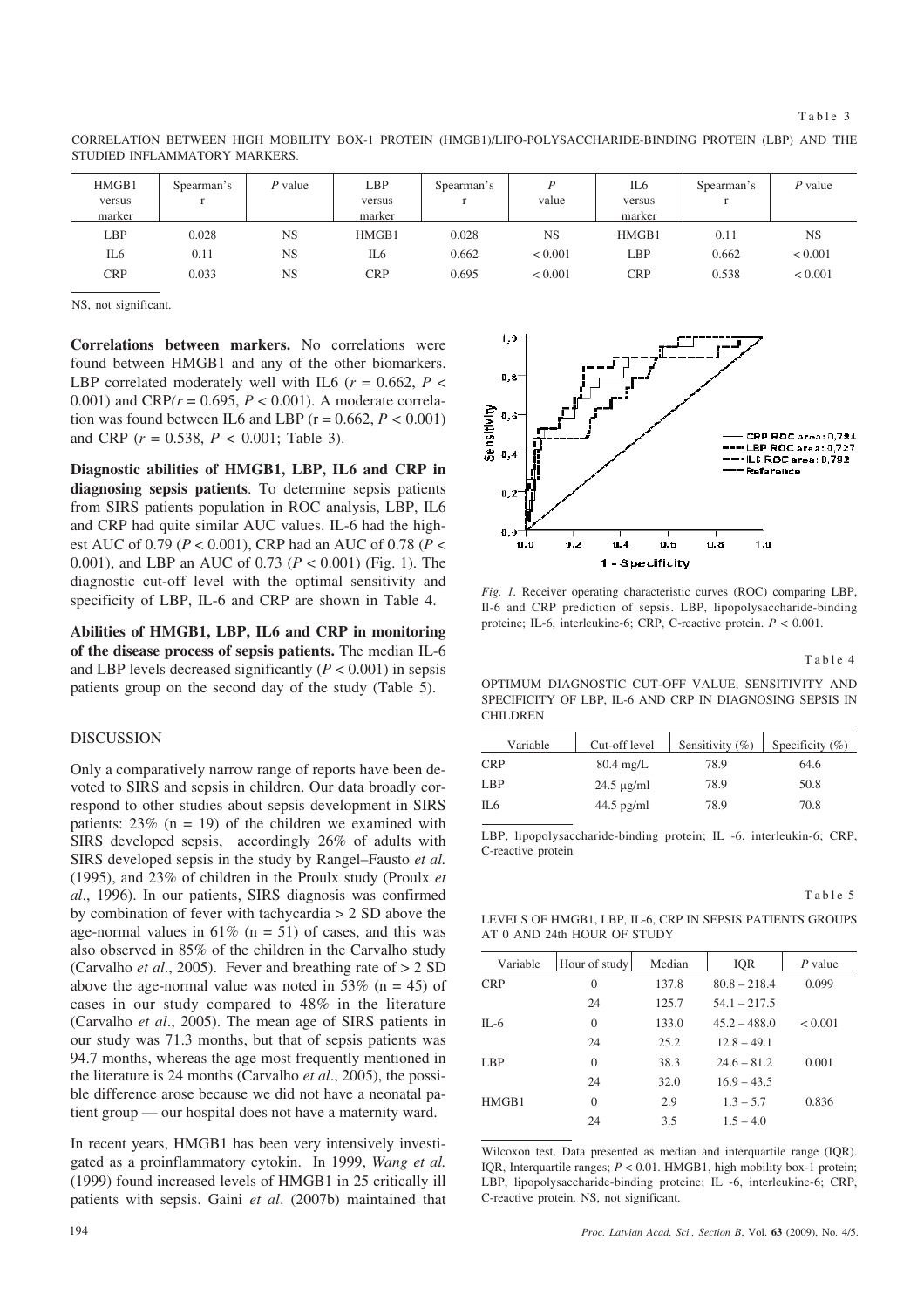HMGB1 versus marker Spearman's r *P* value LBP versus marker Spearman's r *P* value IL6 versus marker Spearman's r *P* value LBP IL6 CRP 0.028 0.11 0.033 NS NS NS HMGB1 IL6 **CRP** 0.028 0.662 0.695 NS  $< 0.001$  $< 0.001$ HMGB1 LBP CRP 0.11 0.662 0.538 NS  $< 0.001$  $< 0.001$ 

CORRELATION BETWEEN HIGH MOBILITY BOX-1 PROTEIN (HMGB1)/LIPO-POLYSACCHARIDE-BINDING PROTEIN (LBP) AND THE STUDIED INFLAMMATORY MARKERS.

NS, not significant.

**Correlations between markers.** No correlations were found between HMGB1 and any of the other biomarkers. LBP correlated moderately well with IL6 ( $r = 0.662$ ,  $P <$ 0.001) and  $CRP(r = 0.695, P < 0.001)$ . A moderate correlation was found between IL6 and LBP  $(r = 0.662, P < 0.001)$ and CRP (*r* = 0.538, *P <* 0.001; Table 3).

**Diagnostic abilities of HMGB1, LBP, IL6 and CRP in diagnosing sepsis patients**. To determine sepsis patients from SIRS patients population in ROC analysis, LBP, IL6 and CRP had quite similar AUC values. IL-6 had the highest AUC of 0.79 (*P* < 0.001), CRP had an AUC of 0.78 (*P* < 0.001), and LBP an AUC of 0.73 (*P* < 0.001) (Fig. 1). The diagnostic cut-off level with the optimal sensitivity and specificity of LBP, IL-6 and CRP are shown in Table 4.

**Abilities of HMGB1, LBP, IL6 and CRP in monitoring of the disease process of sepsis patients.** The median IL-6 and LBP levels decreased significantly  $(P < 0.001)$  in sepsis patients group on the second day of the study (Table 5).

## **DISCUSSION**

Only a comparatively narrow range of reports have been devoted to SIRS and sepsis in children. Our data broadly correspond to other studies about sepsis development in SIRS patients:  $23\%$  (n = 19) of the children we examined with SIRS developed sepsis, accordingly 26% of adults with SIRS developed sepsis in the study by Rangel–Fausto *et al.* (1995), and 23% of children in the Proulx study (Proulx *et al*., 1996). In our patients, SIRS diagnosis was confirmed by combination of fever with tachycardia > 2 SD above the age-normal values in  $61\%$  (n = 51) of cases, and this was also observed in 85% of the children in the Carvalho study (Carvalho *et al*., 2005). Fever and breathing rate of > 2 SD above the age-normal value was noted in 53% ( $n = 45$ ) of cases in our study compared to 48% in the literature (Carvalho *et al*., 2005). The mean age of SIRS patients in our study was 71.3 months, but that of sepsis patients was 94.7 months, whereas the age most frequently mentioned in the literature is 24 months (Carvalho *et al*., 2005), the possible difference arose because we did not have a neonatal patient group — our hospital does not have a maternity ward.

In recent years, HMGB1 has been very intensively investigated as a proinflammatory cytokin. In 1999, *Wang et al.* (1999) found increased levels of HMGB1 in 25 critically ill patients with sepsis. Gaini *et al*. (2007b) maintained that



*Fig. 1.* Receiver operating characteristic curves (ROC) comparing LBP, Il-6 and CRP prediction of sepsis. LBP, lipopolysaccharide-binding proteine; IL-6, interleukine-6; CRP, C-reactive protein. *P* < 0.001.

Table 4

Table 5

OPTIMUM DIAGNOSTIC CUT-OFF VALUE, SENSITIVITY AND SPECIFICITY OF LBP, IL-6 AND CRP IN DIAGNOSING SEPSIS IN CHILDREN

| Variable   | Cut-off level       | Sensitivity (%) | Specificity $(\% )$ |
|------------|---------------------|-----------------|---------------------|
| <b>CRP</b> | $80.4 \text{ mg/L}$ | 78.9            | 64.6                |
| LBP        | $24.5 \mu g/ml$     | 78.9            | 50.8                |
| IL6        | $44.5$ pg/ml        | 78.9            | 70.8                |
|            |                     |                 |                     |

LBP, lipopolysaccharide-binding protein; IL -6, interleukin-6; CRP, C-reactive protein

LEVELS OF HMGB1, LBP, IL-6, CRP IN SEPSIS PATIENTS GROUPS AT 0 AND 24th HOUR OF STUDY

| Variable   | Hour of study  | Median | <b>IQR</b>     | P value |
|------------|----------------|--------|----------------|---------|
| <b>CRP</b> | $\overline{0}$ | 137.8  | $80.8 - 218.4$ | 0.099   |
|            | 24             | 125.7  | $54.1 - 217.5$ |         |
| $IL-6$     | $\theta$       | 133.0  | $45.2 - 488.0$ | < 0.001 |
|            | 24             | 25.2   | $12.8 - 49.1$  |         |
| LBP        | $\theta$       | 38.3   | $24.6 - 81.2$  | 0.001   |
|            | 24             | 32.0   | $16.9 - 43.5$  |         |
| HMGB1      | $\theta$       | 2.9    | $1.3 - 5.7$    | 0.836   |
|            | 24             | 3.5    | $1.5 - 4.0$    |         |

Wilcoxon test. Data presented as median and interquartile range (IQR). IQR, Interquartile ranges; *P* < 0.01. HMGB1, high mobility box-1 protein; LBP, lipopolysaccharide-binding proteine; IL -6, interleukine-6; CRP, C-reactive protein. NS, not significant.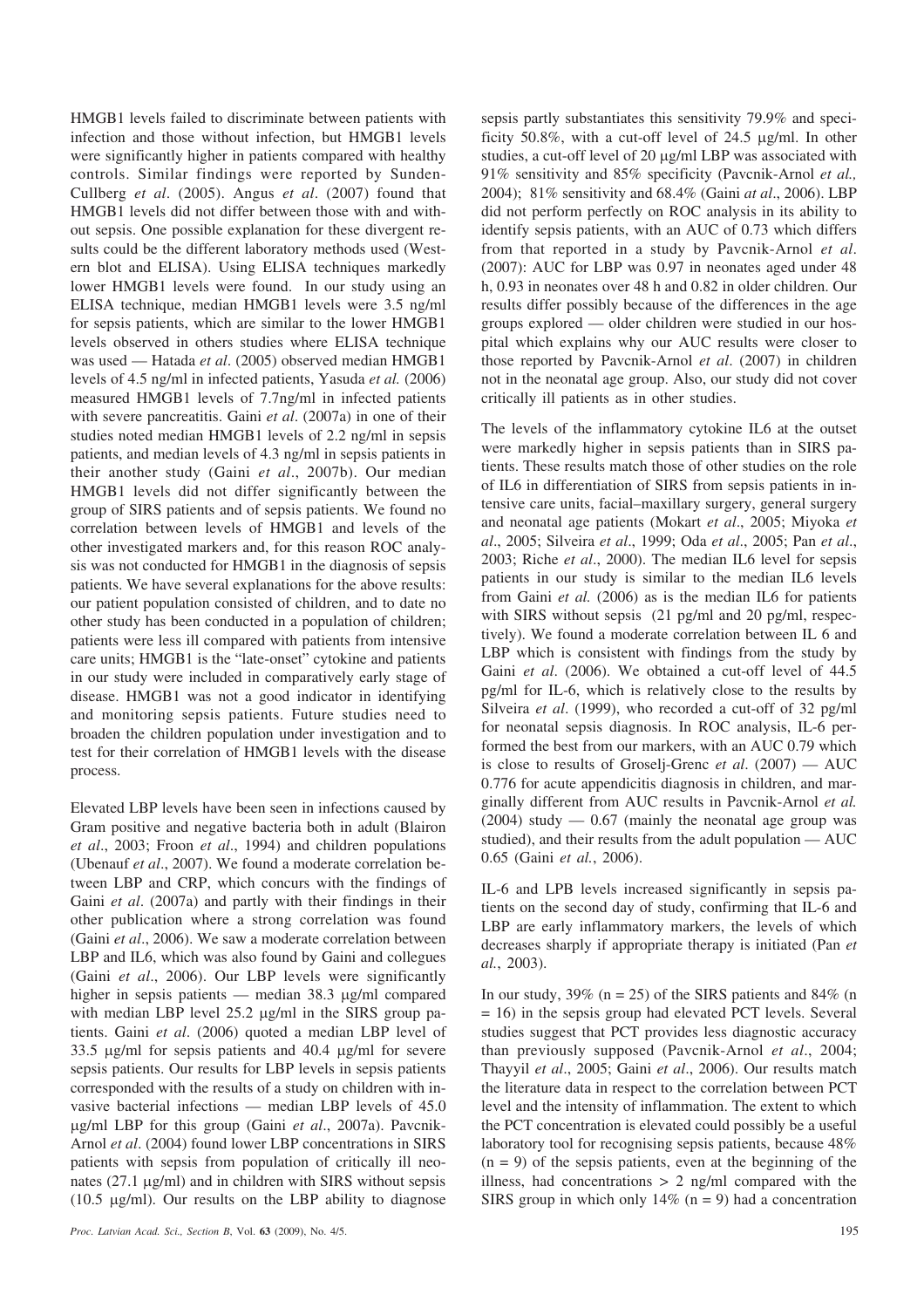HMGB1 levels failed to discriminate between patients with infection and those without infection, but HMGB1 levels were significantly higher in patients compared with healthy controls. Similar findings were reported by Sunden-Cullberg *et al*. (2005). Angus *et al*. (2007) found that HMGB1 levels did not differ between those with and without sepsis. One possible explanation for these divergent results could be the different laboratory methods used (Western blot and ELISA). Using ELISA techniques markedly lower HMGB1 levels were found. In our study using an ELISA technique, median HMGB1 levels were 3.5 ng/ml for sepsis patients, which are similar to the lower HMGB1 levels observed in others studies where ELISA technique was used — Hatada *et al*. (2005) observed median HMGB1 levels of 4.5 ng/ml in infected patients, Yasuda *et al.* (2006) measured HMGB1 levels of 7.7ng/ml in infected patients with severe pancreatitis. Gaini *et al*. (2007a) in one of their studies noted median HMGB1 levels of 2.2 ng/ml in sepsis patients, and median levels of 4.3 ng/ml in sepsis patients in their another study (Gaini *et al*., 2007b). Our median HMGB1 levels did not differ significantly between the group of SIRS patients and of sepsis patients. We found no correlation between levels of HMGB1 and levels of the other investigated markers and, for this reason ROC analysis was not conducted for HMGB1 in the diagnosis of sepsis patients. We have several explanations for the above results: our patient population consisted of children, and to date no other study has been conducted in a population of children; patients were less ill compared with patients from intensive care units; HMGB1 is the "late-onset" cytokine and patients in our study were included in comparatively early stage of disease. HMGB1 was not a good indicator in identifying and monitoring sepsis patients. Future studies need to broaden the children population under investigation and to test for their correlation of HMGB1 levels with the disease process.

Elevated LBP levels have been seen in infections caused by Gram positive and negative bacteria both in adult (Blairon *et al*., 2003; Froon *et al*., 1994) and children populations (Ubenauf *et al*., 2007). We found a moderate correlation between LBP and CRP, which concurs with the findings of Gaini *et al*. (2007a) and partly with their findings in their other publication where a strong correlation was found (Gaini *et al*., 2006). We saw a moderate correlation between LBP and IL6, which was also found by Gaini and collegues (Gaini *et al*., 2006). Our LBP levels were significantly higher in sepsis patients — median  $38.3 \mu$ g/ml compared with median LBP level  $25.2 \mu g/ml$  in the SIRS group patients. Gaini *et al*. (2006) quoted a median LBP level of  $33.5 \text{ ug/ml}$  for sepsis patients and  $40.4 \text{ ug/ml}$  for severe sepsis patients. Our results for LBP levels in sepsis patients corresponded with the results of a study on children with invasive bacterial infections — median LBP levels of 45.0 g/ml LBP for this group (Gaini *et al*., 2007a). Pavcnik-Arnol *et al*. (2004) found lower LBP concentrations in SIRS patients with sepsis from population of critically ill neonates  $(27.1 \mu g/ml)$  and in children with SIRS without sepsis (10.5  $\mu$ g/ml). Our results on the LBP ability to diagnose

sepsis partly substantiates this sensitivity 79.9% and specificity 50.8%, with a cut-off level of 24.5  $\mu$ g/ml. In other studies, a cut-off level of 20  $\mu$ g/ml LBP was associated with 91% sensitivity and 85% specificity (Pavcnik-Arnol *et al.,* 2004); 81% sensitivity and 68.4% (Gaini *at al*., 2006). LBP did not perform perfectly on ROC analysis in its ability to identify sepsis patients, with an AUC of 0.73 which differs from that reported in a study by Pavcnik-Arnol *et al*. (2007): AUC for LBP was 0.97 in neonates aged under 48 h, 0.93 in neonates over 48 h and 0.82 in older children. Our results differ possibly because of the differences in the age groups explored — older children were studied in our hospital which explains why our AUC results were closer to those reported by Pavcnik-Arnol *et al*. (2007) in children not in the neonatal age group. Also, our study did not cover critically ill patients as in other studies.

The levels of the inflammatory cytokine IL6 at the outset were markedly higher in sepsis patients than in SIRS patients. These results match those of other studies on the role of IL6 in differentiation of SIRS from sepsis patients in intensive care units, facial–maxillary surgery, general surgery and neonatal age patients (Mokart *et al*., 2005; Miyoka *et al*., 2005; Silveira *et al*., 1999; Oda *et al*., 2005; Pan *et al*., 2003; Riche *et al*., 2000). The median IL6 level for sepsis patients in our study is similar to the median IL6 levels from Gaini *et al.* (2006) as is the median IL6 for patients with SIRS without sepsis (21 pg/ml and 20 pg/ml, respectively). We found a moderate correlation between IL 6 and LBP which is consistent with findings from the study by Gaini *et al*. (2006). We obtained a cut-off level of 44.5 pg/ml for IL-6, which is relatively close to the results by Silveira *et al*. (1999), who recorded a cut-off of 32 pg/ml for neonatal sepsis diagnosis. In ROC analysis, IL-6 performed the best from our markers, with an AUC 0.79 which is close to results of Groselj-Grenc *et al*. (2007) — AUC 0.776 for acute appendicitis diagnosis in children, and marginally different from AUC results in Pavcnik-Arnol *et al.*  $(2004)$  study  $- 0.67$  (mainly the neonatal age group was studied), and their results from the adult population — AUC 0.65 (Gaini *et al.*, 2006).

IL-6 and LPB levels increased significantly in sepsis patients on the second day of study, confirming that IL-6 and LBP are early inflammatory markers, the levels of which decreases sharply if appropriate therapy is initiated (Pan *et al.*, 2003).

In our study,  $39\%$  (n = 25) of the SIRS patients and 84% (n = 16) in the sepsis group had elevated PCT levels. Several studies suggest that PCT provides less diagnostic accuracy than previously supposed (Pavcnik-Arnol *et al*., 2004; Thayyil *et al*., 2005; Gaini *et al*., 2006). Our results match the literature data in respect to the correlation between PCT level and the intensity of inflammation. The extent to which the PCT concentration is elevated could possibly be a useful laboratory tool for recognising sepsis patients, because 48%  $(n = 9)$  of the sepsis patients, even at the beginning of the illness, had concentrations  $> 2$  ng/ml compared with the SIRS group in which only  $14\%$  (n = 9) had a concentration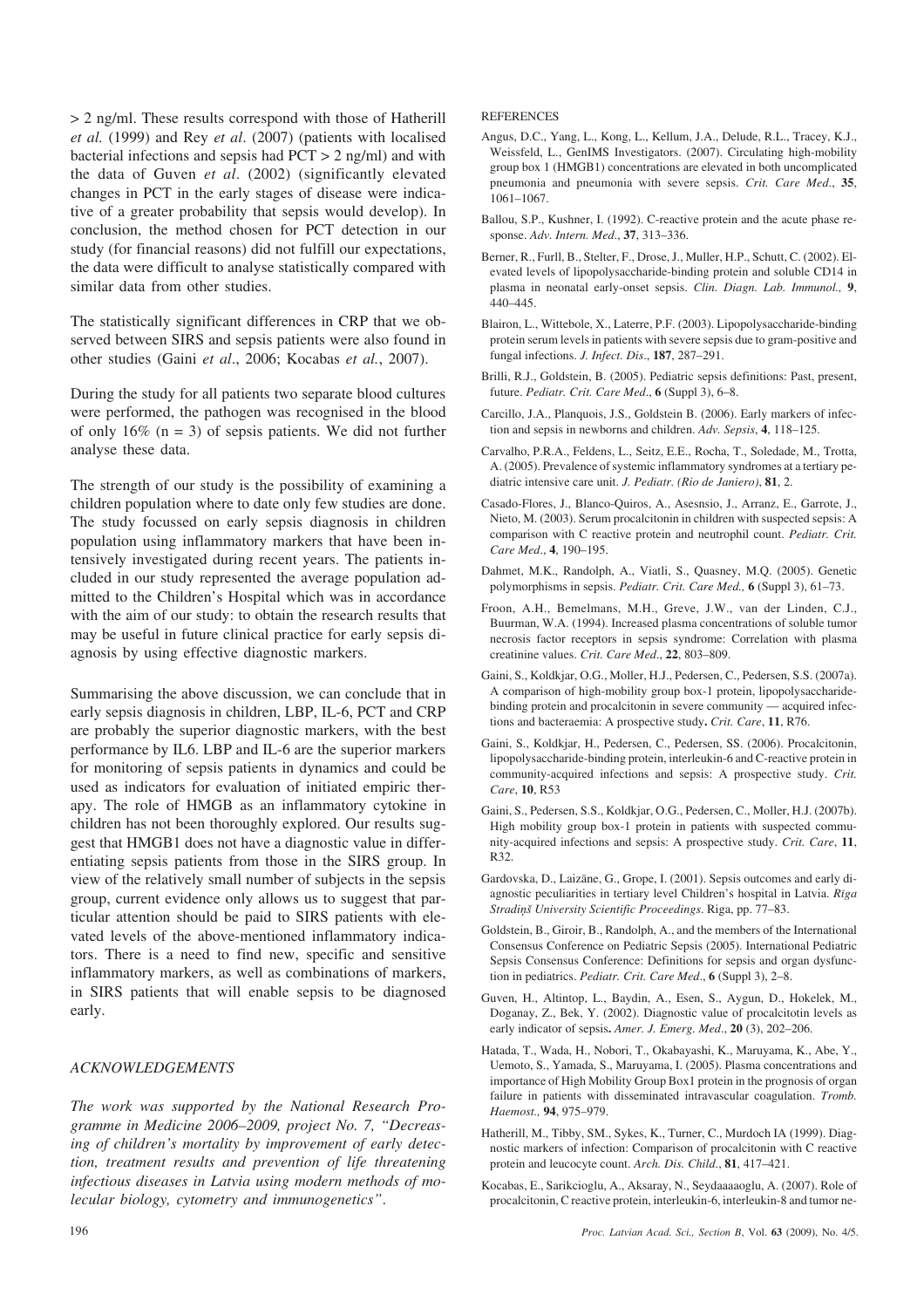> 2 ng/ml. These results correspond with those of Hatherill *et al.* (1999) and Rey *et al*. (2007) (patients with localised bacterial infections and sepsis had PCT > 2 ng/ml) and with the data of Guven *et al*. (2002) (significantly elevated changes in PCT in the early stages of disease were indicative of a greater probability that sepsis would develop). In conclusion, the method chosen for PCT detection in our study (for financial reasons) did not fulfill our expectations, the data were difficult to analyse statistically compared with similar data from other studies.

The statistically significant differences in CRP that we observed between SIRS and sepsis patients were also found in other studies (Gaini *et al*., 2006; Kocabas *et al.*, 2007).

During the study for all patients two separate blood cultures were performed, the pathogen was recognised in the blood of only  $16\%$  (n = 3) of sepsis patients. We did not further analyse these data.

The strength of our study is the possibility of examining a children population where to date only few studies are done. The study focussed on early sepsis diagnosis in children population using inflammatory markers that have been intensively investigated during recent years. The patients included in our study represented the average population admitted to the Children's Hospital which was in accordance with the aim of our study: to obtain the research results that may be useful in future clinical practice for early sepsis diagnosis by using effective diagnostic markers.

Summarising the above discussion, we can conclude that in early sepsis diagnosis in children, LBP, IL-6, PCT and CRP are probably the superior diagnostic markers, with the best performance by IL6. LBP and IL-6 are the superior markers for monitoring of sepsis patients in dynamics and could be used as indicators for evaluation of initiated empiric therapy. The role of HMGB as an inflammatory cytokine in children has not been thoroughly explored. Our results suggest that HMGB1 does not have a diagnostic value in differentiating sepsis patients from those in the SIRS group. In view of the relatively small number of subjects in the sepsis group, current evidence only allows us to suggest that particular attention should be paid to SIRS patients with elevated levels of the above-mentioned inflammatory indicators. There is a need to find new, specific and sensitive inflammatory markers, as well as combinations of markers, in SIRS patients that will enable sepsis to be diagnosed early.

## *ACKNOWLEDGEMENTS*

*The work was supported by the National Research Programme in Medicine 2006–2009, project No. 7, "Decreasing of children's mortality by improvement of early detection, treatment results and prevention of life threatening infectious diseases in Latvia using modern methods of molecular biology, cytometry and immunogenetics"*.

**REFERENCES** 

- Angus, D.C., Yang, L., Kong, L., Kellum, J.A., Delude, R.L., Tracey, K.J., Weissfeld, L., GenIMS Investigators. (2007). Circulating high-mobility group box 1 (HMGB1) concentrations are elevated in both uncomplicated pneumonia and pneumonia with severe sepsis. *Crit. Care Med*., **35**, 1061–1067.
- Ballou, S.P., Kushner, I. (1992). C-reactive protein and the acute phase response. *Adv. Intern. Med*., **37**, 313–336.
- Berner, R., Furll, B., Stelter, F., Drose, J., Muller, H.P., Schutt, C. (2002). Elevated levels of lipopolysaccharide-binding protein and soluble CD14 in plasma in neonatal early-onset sepsis. *Clin. Diagn. Lab. Immunol.,* **9**, 440–445.
- Blairon, L., Wittebole, X., Laterre, P.F. (2003). Lipopolysaccharide-binding protein serum levels in patients with severe sepsis due to gram-positive and fungal infections. *J. Infect. Dis*., **187**, 287–291.
- Brilli, R.J., Goldstein, B. (2005). Pediatric sepsis definitions: Past, present, future. *Pediatr. Crit. Care Med*., **6** (Suppl 3), 6–8.
- Carcillo, J.A., Planquois, J.S., Goldstein B. (2006). Early markers of infection and sepsis in newborns and children. *Adv. Sepsis*, **4**, 118–125.
- Carvalho, P.R.A., Feldens, L., Seitz, E.E., Rocha, T., Soledade, M., Trotta, A. (2005). Prevalence of systemic inflammatory syndromes at a tertiary pediatric intensive care unit. *J. Pediatr. (Rio de Janiero)*, **81**, 2.
- Casado-Flores, J., Blanco-Quiros, A., Asesnsio, J., Arranz, E., Garrote, J., Nieto, M. (2003). Serum procalcitonin in children with suspected sepsis: A comparison with C reactive protein and neutrophil count. *Pediatr. Crit. Care Med*., **4**, 190–195.
- Dahmet, M.K., Randolph, A., Viatli, S., Quasney, M.Q. (2005). Genetic polymorphisms in sepsis. *Pediatr. Crit. Care Med.,* **6** (Suppl 3), 61–73.
- Froon, A.H., Bemelmans, M.H., Greve, J.W., van der Linden, C.J., Buurman, W.A. (1994). Increased plasma concentrations of soluble tumor necrosis factor receptors in sepsis syndrome: Correlation with plasma creatinine values. *Crit. Care Med*., **22**, 803–809.
- Gaini, S., Koldkjar, O.G., Moller, H.J., Pedersen, C., Pedersen, S.S. (2007a). A comparison of high-mobility group box-1 protein, lipopolysaccharidebinding protein and procalcitonin in severe community — acquired infections and bacteraemia: A prospective study**.** *Crit. Care*, **11**, R76.
- Gaini, S., Koldkjar, H., Pedersen, C., Pedersen, SS. (2006). Procalcitonin, lipopolysaccharide-binding protein, interleukin-6 and C-reactive protein in community-acquired infections and sepsis: A prospective study. *Crit. Care*, **10**, R53
- Gaini, S., Pedersen, S.S., Koldkjar, O.G., Pedersen, C., Moller, H.J. (2007b). High mobility group box-1 protein in patients with suspected community-acquired infections and sepsis: A prospective study. *Crit. Care*, **11**, R32.
- Gardovska, D., Laizâne, G., Grope, I. (2001). Sepsis outcomes and early diagnostic peculiarities in tertiary level Children's hospital in Latvia. *Rîga Stradiòð University Scientific Proceedings*. Riga, pp. 77–83.
- Goldstein, B., Giroir, B., Randolph, A., and the members of the International Consensus Conference on Pediatric Sepsis (2005). International Pediatric Sepsis Consensus Conference: Definitions for sepsis and organ dysfunction in pediatrics. *Pediatr. Crit. Care Med*., **6** (Suppl 3), 2–8.
- Guven, H., Altintop, L., Baydin, A., Esen, S., Aygun, D., Hokelek, M., Doganay, Z., Bek, Y. (2002). Diagnostic value of procalcitotin levels as early indicator of sepsis**.** *Amer. J. Emerg. Med*., **20** (3), 202–206.
- Hatada, T., Wada, H., Nobori, T., Okabayashi, K., Maruyama, K., Abe, Y., Uemoto, S., Yamada, S., Maruyama, I. (2005). Plasma concentrations and importance of High Mobility Group Box1 protein in the prognosis of organ failure in patients with disseminated intravascular coagulation. *Tromb. Haemost.,* **94**, 975–979.
- Hatherill, M., Tibby, SM., Sykes, K., Turner, C., Murdoch IA (1999). Diagnostic markers of infection: Comparison of procalcitonin with C reactive protein and leucocyte count. *Arch. Dis. Child*., **81**, 417–421.
- Kocabas, E., Sarikcioglu, A., Aksaray, N., Seydaaaaoglu, A. (2007). Role of procalcitonin, C reactive protein, interleukin-6, interleukin-8 and tumor ne-